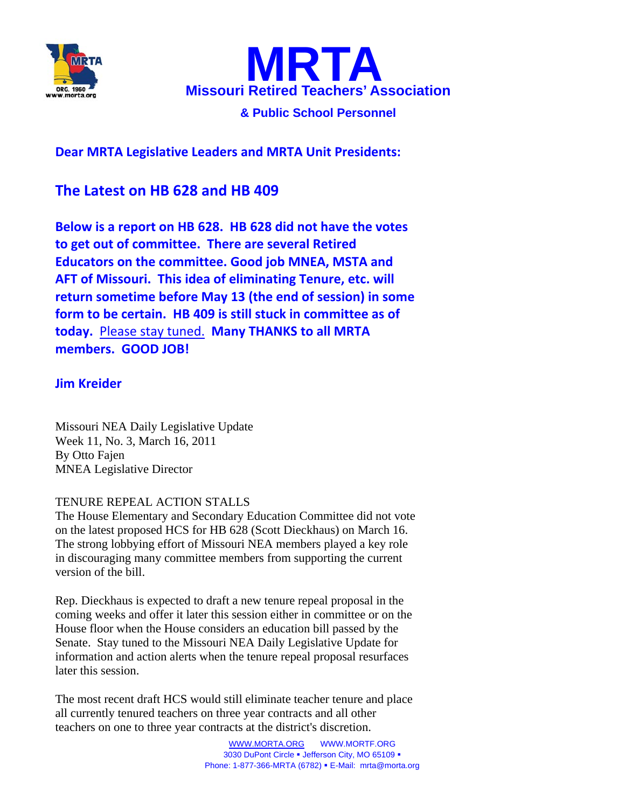



**& Public School Personnel**

**Dear MRTA Legislative Leaders and MRTA Unit Presidents:**

## **The Latest on HB 628 and HB 409**

**Below is a report on HB 628. HB 628 did not have the votes to get out of committee. There are several Retired Educators on the committee. Good job MNEA, MSTA and AFT of Missouri. This idea of eliminating Tenure, etc. will return sometime before May 13 (the end of session) in some form to be certain. HB 409 is still stuck in committee as of today.** Please stay tuned. **Many THANKS to all MRTA members. GOOD JOB!**

## **Jim Kreider**

Missouri NEA Daily Legislative Update Week 11, No. 3, March 16, 2011 By Otto Fajen MNEA Legislative Director

## TENURE REPEAL ACTION STALLS

The House Elementary and Secondary Education Committee did not vote on the latest proposed HCS for HB 628 (Scott Dieckhaus) on March 16. The strong lobbying effort of Missouri NEA members played a key role in discouraging many committee members from supporting the current version of the bill.

Rep. Dieckhaus is expected to draft a new tenure repeal proposal in the coming weeks and offer it later this session either in committee or on the House floor when the House considers an education bill passed by the Senate. Stay tuned to the Missouri NEA Daily Legislative Update for information and action alerts when the tenure repeal proposal resurfaces later this session.

The most recent draft HCS would still eliminate teacher tenure and place all currently tenured teachers on three year contracts and all other teachers on one to three year contracts at the district's discretion.